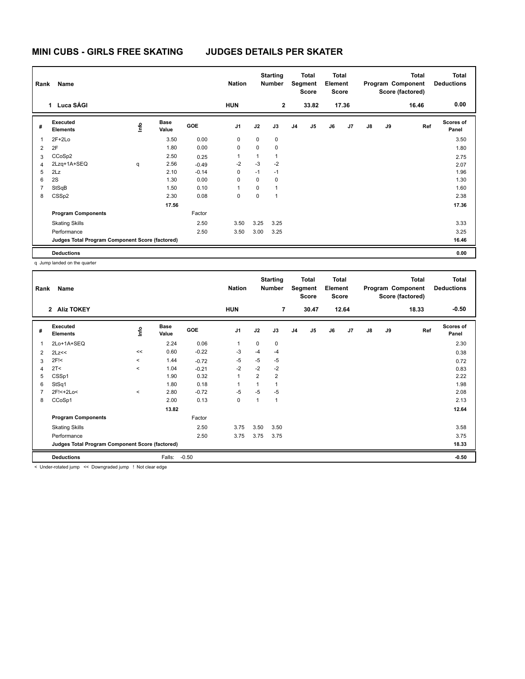|   | Rank<br><b>Name</b>                             |             |                      |            | <b>Nation</b>  |             | <b>Starting</b><br>Total<br>Segment<br>Number<br><b>Score</b> |                | <b>Total</b><br>Element<br><b>Score</b> |    | <b>Total</b><br>Program Component<br>Score (factored) |               |    | <b>Total</b><br><b>Deductions</b> |                           |
|---|-------------------------------------------------|-------------|----------------------|------------|----------------|-------------|---------------------------------------------------------------|----------------|-----------------------------------------|----|-------------------------------------------------------|---------------|----|-----------------------------------|---------------------------|
|   | 1 Luca SÁGI                                     |             |                      |            | <b>HUN</b>     |             | $\mathbf{2}$                                                  |                | 33.82                                   |    | 17.36                                                 |               |    | 16.46                             | 0.00                      |
| # | Executed<br><b>Elements</b>                     | <u>info</u> | <b>Base</b><br>Value | <b>GOE</b> | J <sub>1</sub> | J2          | J3                                                            | J <sub>4</sub> | J <sub>5</sub>                          | J6 | J <sub>7</sub>                                        | $\mathsf{J}8$ | J9 | Ref                               | <b>Scores of</b><br>Panel |
| 1 | $2F+2Lo$                                        |             | 3.50                 | 0.00       | 0              | $\mathbf 0$ | 0                                                             |                |                                         |    |                                                       |               |    |                                   | 3.50                      |
| 2 | 2F                                              |             | 1.80                 | 0.00       | $\pmb{0}$      | 0           | 0                                                             |                |                                         |    |                                                       |               |    |                                   | 1.80                      |
| 3 | CCoSp2                                          |             | 2.50                 | 0.25       | 1              | 1           | 1                                                             |                |                                         |    |                                                       |               |    |                                   | 2.75                      |
| 4 | 2Lzq+1A+SEQ                                     | q           | 2.56                 | $-0.49$    | $-2$           | $-3$        | $-2$                                                          |                |                                         |    |                                                       |               |    |                                   | 2.07                      |
| 5 | 2Lz                                             |             | 2.10                 | $-0.14$    | $\mathbf 0$    | $-1$        | $-1$                                                          |                |                                         |    |                                                       |               |    |                                   | 1.96                      |
| 6 | 2S                                              |             | 1.30                 | 0.00       | 0              | 0           | 0                                                             |                |                                         |    |                                                       |               |    |                                   | 1.30                      |
|   | StSqB                                           |             | 1.50                 | 0.10       | 1              | 0           |                                                               |                |                                         |    |                                                       |               |    |                                   | 1.60                      |
| 8 | CSSp2                                           |             | 2.30                 | 0.08       | 0              | 0           | 1                                                             |                |                                         |    |                                                       |               |    |                                   | 2.38                      |
|   |                                                 |             | 17.56                |            |                |             |                                                               |                |                                         |    |                                                       |               |    |                                   | 17.36                     |
|   | <b>Program Components</b>                       |             |                      | Factor     |                |             |                                                               |                |                                         |    |                                                       |               |    |                                   |                           |
|   | <b>Skating Skills</b>                           |             |                      | 2.50       | 3.50           | 3.25        | 3.25                                                          |                |                                         |    |                                                       |               |    |                                   | 3.33                      |
|   | Performance                                     |             |                      | 2.50       | 3.50           | 3.00        | 3.25                                                          |                |                                         |    |                                                       |               |    |                                   | 3.25                      |
|   | Judges Total Program Component Score (factored) |             |                      |            |                |             |                                                               |                |                                         |    |                                                       |               |    |                                   | 16.46                     |
|   | <b>Deductions</b>                               |             |                      |            |                |             |                                                               |                |                                         |    |                                                       |               |    |                                   | 0.00                      |

q Jump landed on the quarter

| Name<br>Rank   |                                                 |         |                      |         | <b>Nation</b>           |                | <b>Starting</b><br><b>Number</b> |    | <b>Total</b><br>Segment<br><b>Score</b> | <b>Total</b><br>Element<br><b>Score</b> |                | Program Component |    | <b>Total</b><br>Score (factored) | <b>Total</b><br><b>Deductions</b> |
|----------------|-------------------------------------------------|---------|----------------------|---------|-------------------------|----------------|----------------------------------|----|-----------------------------------------|-----------------------------------------|----------------|-------------------|----|----------------------------------|-----------------------------------|
|                | 2 Alíz TOKEY                                    |         |                      |         | <b>HUN</b>              |                | $\overline{7}$                   |    | 30.47                                   |                                         | 12.64          |                   |    | 18.33                            | $-0.50$                           |
| #              | Executed<br><b>Elements</b>                     | ١n      | <b>Base</b><br>Value | GOE     | J <sub>1</sub>          | J2             | J3                               | J4 | J <sub>5</sub>                          | J6                                      | J <sub>7</sub> | $\mathsf{J}8$     | J9 | Ref                              | Scores of<br>Panel                |
| 1              | 2Lo+1A+SEQ                                      |         | 2.24                 | 0.06    | $\mathbf{1}$            | 0              | 0                                |    |                                         |                                         |                |                   |    |                                  | 2.30                              |
| 2              | 2Lz<<                                           | <<      | 0.60                 | $-0.22$ | -3                      | $-4$           | $-4$                             |    |                                         |                                         |                |                   |    |                                  | 0.38                              |
| 3              | 2F <sub>1</sub>                                 | $\,<\,$ | 1.44                 | $-0.72$ | -5                      | $-5$           | -5                               |    |                                         |                                         |                |                   |    |                                  | 0.72                              |
| 4              | 2T<                                             | $\,<$   | 1.04                 | $-0.21$ | $-2$                    | $-2$           | $-2$                             |    |                                         |                                         |                |                   |    |                                  | 0.83                              |
| 5              | CSSp1                                           |         | 1.90                 | 0.32    | $\mathbf{1}$            | $\overline{2}$ | $\overline{2}$                   |    |                                         |                                         |                |                   |    |                                  | 2.22                              |
| 6              | StSq1                                           |         | 1.80                 | 0.18    | $\overline{\mathbf{1}}$ | 1              | 1                                |    |                                         |                                         |                |                   |    |                                  | 1.98                              |
| $\overline{7}$ | 2F!<+2Lo<                                       | $\,<\,$ | 2.80                 | $-0.72$ | $-5$                    | $-5$           | $-5$                             |    |                                         |                                         |                |                   |    |                                  | 2.08                              |
| 8              | CCoSp1                                          |         | 2.00                 | 0.13    | 0                       | 1              | 1                                |    |                                         |                                         |                |                   |    |                                  | 2.13                              |
|                |                                                 |         | 13.82                |         |                         |                |                                  |    |                                         |                                         |                |                   |    |                                  | 12.64                             |
|                | <b>Program Components</b>                       |         |                      | Factor  |                         |                |                                  |    |                                         |                                         |                |                   |    |                                  |                                   |
|                | <b>Skating Skills</b>                           |         |                      | 2.50    | 3.75                    | 3.50           | 3.50                             |    |                                         |                                         |                |                   |    |                                  | 3.58                              |
|                | Performance                                     |         |                      | 2.50    | 3.75                    | 3.75           | 3.75                             |    |                                         |                                         |                |                   |    |                                  | 3.75                              |
|                | Judges Total Program Component Score (factored) |         |                      |         |                         |                |                                  |    |                                         |                                         |                |                   |    |                                  | 18.33                             |
|                | <b>Deductions</b>                               |         | Falls:               | $-0.50$ |                         |                |                                  |    |                                         |                                         |                |                   |    |                                  | $-0.50$                           |

< Under-rotated jump << Downgraded jump ! Not clear edge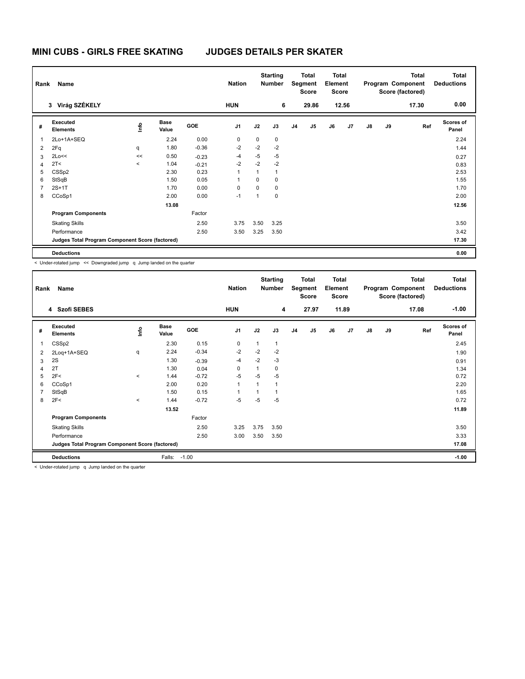|   | <b>Name</b><br>Rank                             |             |                      |         | <b>Nation</b>  |             | <b>Starting</b><br>Number | <b>Total</b><br>Segment<br><b>Score</b> |                | <b>Total</b><br>Element<br><b>Score</b> |       | Program Component |    | Total<br>Score (factored) | <b>Total</b><br><b>Deductions</b> |
|---|-------------------------------------------------|-------------|----------------------|---------|----------------|-------------|---------------------------|-----------------------------------------|----------------|-----------------------------------------|-------|-------------------|----|---------------------------|-----------------------------------|
|   | Virág SZÉKELY<br>3                              |             |                      |         | <b>HUN</b>     |             | 6                         |                                         | 29.86          |                                         | 12.56 |                   |    | 17.30                     | 0.00                              |
| # | Executed<br><b>Elements</b>                     | <u>info</u> | <b>Base</b><br>Value | GOE     | J <sub>1</sub> | J2          | J3                        | J <sub>4</sub>                          | J <sub>5</sub> | J6                                      | J7    | $\mathsf{J}8$     | J9 | Ref                       | Scores of<br>Panel                |
|   | 2Lo+1A+SEQ                                      |             | 2.24                 | 0.00    | $\mathbf 0$    | $\mathbf 0$ | 0                         |                                         |                |                                         |       |                   |    |                           | 2.24                              |
| 2 | 2Fq                                             | q           | 1.80                 | $-0.36$ | $-2$           | $-2$        | $-2$                      |                                         |                |                                         |       |                   |    |                           | 1.44                              |
| 3 | 2Lo<<                                           | <<          | 0.50                 | $-0.23$ | $-4$           | $-5$        | $-5$                      |                                         |                |                                         |       |                   |    |                           | 0.27                              |
|   | 2T <                                            | $\prec$     | 1.04                 | $-0.21$ | $-2$           | $-2$        | $-2$                      |                                         |                |                                         |       |                   |    |                           | 0.83                              |
| 5 | CSS <sub>p2</sub>                               |             | 2.30                 | 0.23    | 1              |             | 1                         |                                         |                |                                         |       |                   |    |                           | 2.53                              |
| 6 | StSqB                                           |             | 1.50                 | 0.05    | -1             | $\Omega$    | $\Omega$                  |                                         |                |                                         |       |                   |    |                           | 1.55                              |
|   | $2S+1T$                                         |             | 1.70                 | 0.00    | $\Omega$       | $\Omega$    | 0                         |                                         |                |                                         |       |                   |    |                           | 1.70                              |
| 8 | CCoSp1                                          |             | 2.00                 | 0.00    | $-1$           |             | 0                         |                                         |                |                                         |       |                   |    |                           | 2.00                              |
|   |                                                 |             | 13.08                |         |                |             |                           |                                         |                |                                         |       |                   |    |                           | 12.56                             |
|   | <b>Program Components</b>                       |             |                      | Factor  |                |             |                           |                                         |                |                                         |       |                   |    |                           |                                   |
|   | <b>Skating Skills</b>                           |             |                      | 2.50    | 3.75           | 3.50        | 3.25                      |                                         |                |                                         |       |                   |    |                           | 3.50                              |
|   | Performance                                     |             |                      | 2.50    | 3.50           | 3.25        | 3.50                      |                                         |                |                                         |       |                   |    |                           | 3.42                              |
|   | Judges Total Program Component Score (factored) |             |                      |         |                |             |                           |                                         |                |                                         |       |                   |    |                           | 17.30                             |
|   | <b>Deductions</b>                               |             |                      |         |                |             |                           |                                         |                |                                         |       |                   |    |                           | 0.00                              |

< Under-rotated jump << Downgraded jump q Jump landed on the quarter

| Rank<br>Name |                                                 |          |                      | <b>Nation</b> |                          | <b>Starting</b><br>Number | <b>Total</b><br>Segment<br><b>Score</b> |                | <b>Total</b><br>Element<br><b>Score</b> |    | Program Component<br>Score (factored) |               | <b>Total</b> | <b>Total</b><br><b>Deductions</b> |                           |
|--------------|-------------------------------------------------|----------|----------------------|---------------|--------------------------|---------------------------|-----------------------------------------|----------------|-----------------------------------------|----|---------------------------------------|---------------|--------------|-----------------------------------|---------------------------|
|              | 4 Szofi SEBES                                   |          |                      |               | <b>HUN</b>               |                           | 4                                       |                | 27.97                                   |    | 11.89                                 |               |              | 17.08                             | $-1.00$                   |
| #            | Executed<br><b>Elements</b>                     | lnfo     | <b>Base</b><br>Value | GOE           | J <sub>1</sub>           | J2                        | J3                                      | J <sub>4</sub> | J5                                      | J6 | J <sub>7</sub>                        | $\mathsf{J}8$ | J9           | Ref                               | <b>Scores of</b><br>Panel |
|              | CSS <sub>p2</sub>                               |          | 2.30                 | 0.15          | 0                        | 1                         | 1                                       |                |                                         |    |                                       |               |              |                                   | 2.45                      |
| 2            | 2Loq+1A+SEQ                                     | q        | 2.24                 | $-0.34$       | $-2$                     | $-2$                      | $-2$                                    |                |                                         |    |                                       |               |              |                                   | 1.90                      |
| 3            | 2S                                              |          | 1.30                 | $-0.39$       | $-4$                     | $-2$                      | $-3$                                    |                |                                         |    |                                       |               |              |                                   | 0.91                      |
|              | 2T                                              |          | 1.30                 | 0.04          | 0                        | 1                         | 0                                       |                |                                         |    |                                       |               |              |                                   | 1.34                      |
| 5            | 2F<                                             | $\prec$  | 1.44                 | $-0.72$       | $-5$                     | $-5$                      | $-5$                                    |                |                                         |    |                                       |               |              |                                   | 0.72                      |
| 6            | CCoSp1                                          |          | 2.00                 | 0.20          | 1                        |                           |                                         |                |                                         |    |                                       |               |              |                                   | 2.20                      |
|              | StSqB                                           |          | 1.50                 | 0.15          | $\overline{\phantom{a}}$ |                           |                                         |                |                                         |    |                                       |               |              |                                   | 1.65                      |
| 8            | 2F<                                             | $\hat{}$ | 1.44                 | $-0.72$       | $-5$                     | -5                        | -5                                      |                |                                         |    |                                       |               |              |                                   | 0.72                      |
|              |                                                 |          | 13.52                |               |                          |                           |                                         |                |                                         |    |                                       |               |              |                                   | 11.89                     |
|              | <b>Program Components</b>                       |          |                      | Factor        |                          |                           |                                         |                |                                         |    |                                       |               |              |                                   |                           |
|              | <b>Skating Skills</b>                           |          |                      | 2.50          | 3.25                     | 3.75                      | 3.50                                    |                |                                         |    |                                       |               |              |                                   | 3.50                      |
|              | Performance                                     |          |                      | 2.50          | 3.00                     | 3.50                      | 3.50                                    |                |                                         |    |                                       |               |              |                                   | 3.33                      |
|              | Judges Total Program Component Score (factored) |          |                      |               |                          |                           |                                         |                |                                         |    |                                       |               |              |                                   | 17.08                     |
|              | <b>Deductions</b>                               |          | Falls:               | $-1.00$       |                          |                           |                                         |                |                                         |    |                                       |               |              |                                   | $-1.00$                   |

< Under-rotated jump q Jump landed on the quarter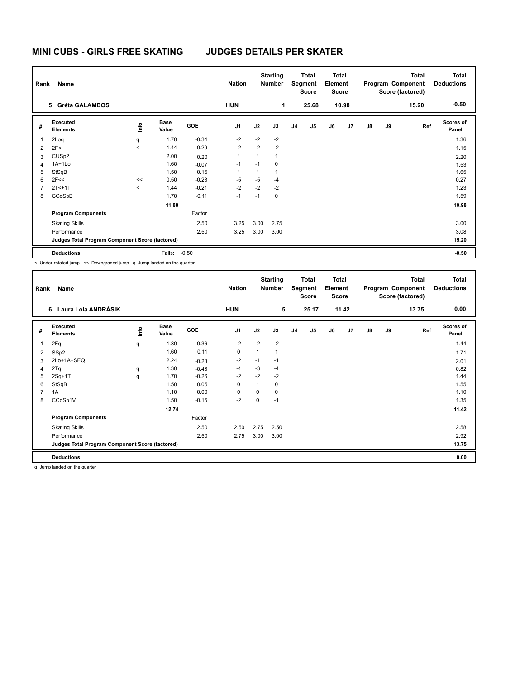| Name<br>Rank   |                                                 |             |                      |            | <b>Nation</b>  |      | <b>Starting</b><br>Number |                | <b>Total</b><br>Segment<br><b>Score</b> |    | <b>Total</b><br>Element<br><b>Score</b> |               |    | <b>Total</b><br>Program Component<br>Score (factored) | <b>Total</b><br><b>Deductions</b> |  |
|----------------|-------------------------------------------------|-------------|----------------------|------------|----------------|------|---------------------------|----------------|-----------------------------------------|----|-----------------------------------------|---------------|----|-------------------------------------------------------|-----------------------------------|--|
|                | <b>Gréta GALAMBOS</b><br>5.                     |             |                      |            | <b>HUN</b>     |      | 1                         |                | 25.68                                   |    | 10.98                                   |               |    | 15.20                                                 | $-0.50$                           |  |
| #              | Executed<br><b>Elements</b>                     | <u>info</u> | <b>Base</b><br>Value | <b>GOE</b> | J <sub>1</sub> | J2   | J3                        | J <sub>4</sub> | J <sub>5</sub>                          | J6 | J7                                      | $\mathsf{J}8$ | J9 | Ref                                                   | Scores of<br>Panel                |  |
|                | 2Loq                                            | q           | 1.70                 | $-0.34$    | $-2$           | $-2$ | $-2$                      |                |                                         |    |                                         |               |    |                                                       | 1.36                              |  |
| $\overline{2}$ | 2F<                                             | $\prec$     | 1.44                 | $-0.29$    | $-2$           | $-2$ | $-2$                      |                |                                         |    |                                         |               |    |                                                       | 1.15                              |  |
| 3              | CUS <sub>p2</sub>                               |             | 2.00                 | 0.20       | 1              | 1    | 1                         |                |                                         |    |                                         |               |    |                                                       | 2.20                              |  |
| $\overline{4}$ | $1A+1Lo$                                        |             | 1.60                 | $-0.07$    | $-1$           | $-1$ | $\Omega$                  |                |                                         |    |                                         |               |    |                                                       | 1.53                              |  |
| 5              | StSqB                                           |             | 1.50                 | 0.15       | 1              |      |                           |                |                                         |    |                                         |               |    |                                                       | 1.65                              |  |
| 6              | 2F<<                                            | <<          | 0.50                 | $-0.23$    | $-5$           | $-5$ | $-4$                      |                |                                         |    |                                         |               |    |                                                       | 0.27                              |  |
|                | $2T<+1T$                                        | $\prec$     | 1.44                 | $-0.21$    | $-2$           | $-2$ | $-2$                      |                |                                         |    |                                         |               |    |                                                       | 1.23                              |  |
| 8              | CCoSpB                                          |             | 1.70                 | $-0.11$    | $-1$           | $-1$ | 0                         |                |                                         |    |                                         |               |    |                                                       | 1.59                              |  |
|                |                                                 |             | 11.88                |            |                |      |                           |                |                                         |    |                                         |               |    |                                                       | 10.98                             |  |
|                | <b>Program Components</b>                       |             |                      | Factor     |                |      |                           |                |                                         |    |                                         |               |    |                                                       |                                   |  |
|                | <b>Skating Skills</b>                           |             |                      | 2.50       | 3.25           | 3.00 | 2.75                      |                |                                         |    |                                         |               |    |                                                       | 3.00                              |  |
|                | Performance                                     |             |                      | 2.50       | 3.25           | 3.00 | 3.00                      |                |                                         |    |                                         |               |    |                                                       | 3.08                              |  |
|                | Judges Total Program Component Score (factored) |             |                      |            |                |      |                           |                |                                         |    |                                         |               |    |                                                       | 15.20                             |  |
|                | <b>Deductions</b>                               |             | Falls:               | $-0.50$    |                |      |                           |                |                                         |    |                                         |               |    |                                                       | $-0.50$                           |  |

< Under-rotated jump << Downgraded jump q Jump landed on the quarter

| Rank<br><b>Name</b> |                                                 |      |                      |            | <b>Nation</b>  |              | <b>Starting</b><br>Number | <b>Total</b><br>Segment<br><b>Score</b> |                | <b>Total</b><br>Element<br><b>Score</b> |       | Program Component<br>Score (factored) |    | Total | <b>Total</b><br><b>Deductions</b> |
|---------------------|-------------------------------------------------|------|----------------------|------------|----------------|--------------|---------------------------|-----------------------------------------|----------------|-----------------------------------------|-------|---------------------------------------|----|-------|-----------------------------------|
|                     | 6 Laura Lola ANDRÁSIK                           |      |                      |            | <b>HUN</b>     |              | 5                         |                                         | 25.17          |                                         | 11.42 |                                       |    | 13.75 | 0.00                              |
| #                   | Executed<br><b>Elements</b>                     | lnfo | <b>Base</b><br>Value | <b>GOE</b> | J <sub>1</sub> | J2           | J3                        | J <sub>4</sub>                          | J <sub>5</sub> | J6                                      | J7    | J8                                    | J9 | Ref   | Scores of<br>Panel                |
| 1                   | 2Fq                                             | q    | 1.80                 | $-0.36$    | $-2$           | $-2$         | $-2$                      |                                         |                |                                         |       |                                       |    |       | 1.44                              |
| 2                   | SSp2                                            |      | 1.60                 | 0.11       | 0              | $\mathbf{1}$ | 1                         |                                         |                |                                         |       |                                       |    |       | 1.71                              |
| 3                   | 2Lo+1A+SEQ                                      |      | 2.24                 | $-0.23$    | $-2$           | $-1$         | $-1$                      |                                         |                |                                         |       |                                       |    |       | 2.01                              |
| 4                   | 2Tq                                             | q    | 1.30                 | $-0.48$    | $-4$           | -3           | $-4$                      |                                         |                |                                         |       |                                       |    |       | 0.82                              |
| 5                   | $2Sq+1T$                                        | q    | 1.70                 | $-0.26$    | $-2$           | $-2$         | $-2$                      |                                         |                |                                         |       |                                       |    |       | 1.44                              |
| 6                   | StSqB                                           |      | 1.50                 | 0.05       | 0              | 1            | 0                         |                                         |                |                                         |       |                                       |    |       | 1.55                              |
|                     | 1A                                              |      | 1.10                 | 0.00       | 0              | 0            | 0                         |                                         |                |                                         |       |                                       |    |       | 1.10                              |
| 8                   | CCoSp1V                                         |      | 1.50                 | $-0.15$    | $-2$           | 0            | $-1$                      |                                         |                |                                         |       |                                       |    |       | 1.35                              |
|                     |                                                 |      | 12.74                |            |                |              |                           |                                         |                |                                         |       |                                       |    |       | 11.42                             |
|                     | <b>Program Components</b>                       |      |                      | Factor     |                |              |                           |                                         |                |                                         |       |                                       |    |       |                                   |
|                     | <b>Skating Skills</b>                           |      |                      | 2.50       | 2.50           | 2.75         | 2.50                      |                                         |                |                                         |       |                                       |    |       | 2.58                              |
|                     | Performance                                     |      |                      | 2.50       | 2.75           | 3.00         | 3.00                      |                                         |                |                                         |       |                                       |    |       | 2.92                              |
|                     | Judges Total Program Component Score (factored) |      |                      |            |                |              |                           |                                         |                |                                         |       |                                       |    |       | 13.75                             |
|                     | <b>Deductions</b>                               |      |                      |            |                |              |                           |                                         |                |                                         |       |                                       |    |       | 0.00                              |

q Jump landed on the quarter